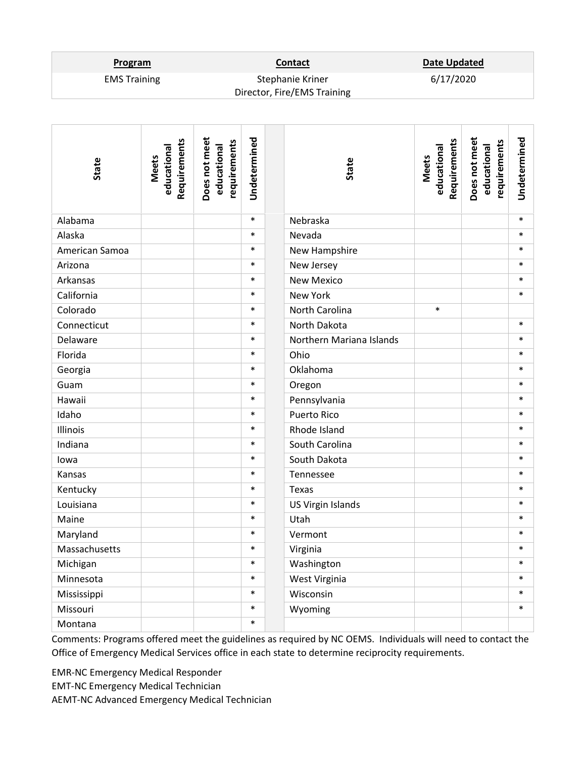## **Program Contact Contact Date Updated**

6/17/2020

EMS Training Stephanie Kriner Director, Fire/EMS Training

| State          | Requirements<br>educational<br><b>Meets</b> | Does not meet<br>requirements<br>educational | Undetermined | State                    | Requirements<br>educational<br><b>Meets</b> | Does not meet<br>requirements<br>educational | Undetermined |
|----------------|---------------------------------------------|----------------------------------------------|--------------|--------------------------|---------------------------------------------|----------------------------------------------|--------------|
| Alabama        |                                             |                                              | $\ast$       | Nebraska                 |                                             |                                              | $\ast$       |
| Alaska         |                                             |                                              | $\ast$       | Nevada                   |                                             |                                              | $\ast$       |
| American Samoa |                                             |                                              | $\ast$       | New Hampshire            |                                             |                                              | $\ast$       |
| Arizona        |                                             |                                              | $\ast$       | New Jersey               |                                             |                                              | $\ast$       |
| Arkansas       |                                             |                                              | $\ast$       | <b>New Mexico</b>        |                                             |                                              | $\ast$       |
| California     |                                             |                                              | $\ast$       | New York                 |                                             |                                              | $\ast$       |
| Colorado       |                                             |                                              | $\ast$       | North Carolina           | $\ast$                                      |                                              |              |
| Connecticut    |                                             |                                              | $\ast$       | North Dakota             |                                             |                                              | $\ast$       |
| Delaware       |                                             |                                              | $\ast$       | Northern Mariana Islands |                                             |                                              | $\ast$       |
| Florida        |                                             |                                              | $\ast$       | Ohio                     |                                             |                                              | $\ast$       |
| Georgia        |                                             |                                              | $\ast$       | Oklahoma                 |                                             |                                              | $\ast$       |
| Guam           |                                             |                                              | $\ast$       | Oregon                   |                                             |                                              | $\ast$       |
| Hawaii         |                                             |                                              | $\ast$       | Pennsylvania             |                                             |                                              | $\ast$       |
| Idaho          |                                             |                                              | $\ast$       | <b>Puerto Rico</b>       |                                             |                                              | $\ast$       |
| Illinois       |                                             |                                              | $\ast$       | Rhode Island             |                                             |                                              | $\ast$       |
| Indiana        |                                             |                                              | $\ast$       | South Carolina           |                                             |                                              | $\ast$       |
| lowa           |                                             |                                              | $\ast$       | South Dakota             |                                             |                                              | $\ast$       |
| Kansas         |                                             |                                              | $\ast$       | Tennessee                |                                             |                                              | $\ast$       |
| Kentucky       |                                             |                                              | $\ast$       | Texas                    |                                             |                                              | $\ast$       |
| Louisiana      |                                             |                                              | $\ast$       | US Virgin Islands        |                                             |                                              | $\ast$       |
| Maine          |                                             |                                              | $\ast$       | Utah                     |                                             |                                              | $\ast$       |
| Maryland       |                                             |                                              | $\ast$       | Vermont                  |                                             |                                              | $\ast$       |
| Massachusetts  |                                             |                                              | $\ast$       | Virginia                 |                                             |                                              |              |
| Michigan       |                                             |                                              | $\ast$       | Washington               |                                             |                                              | $\ast$       |
| Minnesota      |                                             |                                              | $\ast$       | West Virginia            |                                             |                                              | $\ast$       |
| Mississippi    |                                             |                                              | $\ast$       | Wisconsin                |                                             |                                              | $\ast$       |
| Missouri       |                                             |                                              | $\ast$       | Wyoming                  |                                             |                                              | $\ast$       |
| Montana        |                                             |                                              | $\ast$       |                          |                                             |                                              |              |

Comments: Programs offered meet the guidelines as required by NC OEMS. Individuals will need to contact the Office of Emergency Medical Services office in each state to determine reciprocity requirements.

EMR-NC Emergency Medical Responder

EMT-NC Emergency Medical Technician

AEMT-NC Advanced Emergency Medical Technician